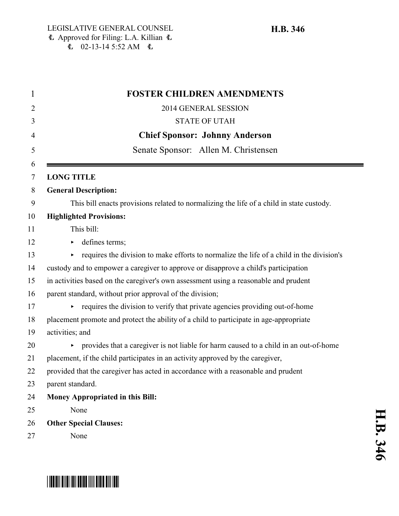| 1      | <b>FOSTER CHILDREN AMENDMENTS</b>                                                                    |
|--------|------------------------------------------------------------------------------------------------------|
| 2      | 2014 GENERAL SESSION                                                                                 |
| 3      | <b>STATE OF UTAH</b>                                                                                 |
| 4      | <b>Chief Sponsor: Johnny Anderson</b>                                                                |
| 5      | Senate Sponsor: Allen M. Christensen                                                                 |
| 6<br>7 | <b>LONG TITLE</b>                                                                                    |
| 8      | <b>General Description:</b>                                                                          |
| 9      | This bill enacts provisions related to normalizing the life of a child in state custody.             |
| 10     | <b>Highlighted Provisions:</b>                                                                       |
| 11     | This bill:                                                                                           |
| 12     | defines terms;                                                                                       |
| 13     | requires the division to make efforts to normalize the life of a child in the division's             |
| 14     | custody and to empower a caregiver to approve or disapprove a child's participation                  |
| 15     | in activities based on the caregiver's own assessment using a reasonable and prudent                 |
| 16     | parent standard, without prior approval of the division;                                             |
| 17     | requires the division to verify that private agencies providing out-of-home<br>$\blacktriangleright$ |
| 18     | placement promote and protect the ability of a child to participate in age-appropriate               |
| 19     | activities; and                                                                                      |
| 20     | provides that a caregiver is not liable for harm caused to a child in an out-of-home                 |
| 21     | placement, if the child participates in an activity approved by the caregiver,                       |
| 22     | provided that the caregiver has acted in accordance with a reasonable and prudent                    |
| 23     | parent standard.                                                                                     |
| 24     | Money Appropriated in this Bill:                                                                     |
| 25     | None                                                                                                 |
| 26     | <b>Other Special Clauses:</b>                                                                        |
| 27     | None                                                                                                 |



## \*HB0346\*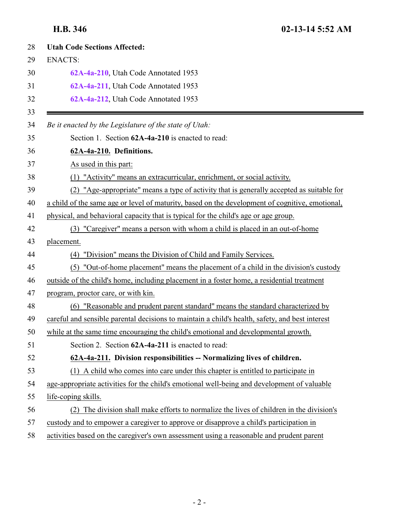<span id="page-1-1"></span><span id="page-1-0"></span>

| <b>Utah Code Sections Affected:</b>                                                             |
|-------------------------------------------------------------------------------------------------|
| <b>ENACTS:</b>                                                                                  |
| 62A-4a-210, Utah Code Annotated 1953                                                            |
| 62A-4a-211, Utah Code Annotated 1953                                                            |
| 62A-4a-212, Utah Code Annotated 1953                                                            |
| Be it enacted by the Legislature of the state of Utah:                                          |
| Section 1. Section 62A-4a-210 is enacted to read:                                               |
| 62A-4a-210. Definitions.                                                                        |
| As used in this part:                                                                           |
| (1) "Activity" means an extracurricular, enrichment, or social activity.                        |
| (2) "Age-appropriate" means a type of activity that is generally accepted as suitable for       |
| a child of the same age or level of maturity, based on the development of cognitive, emotional, |
| physical, and behavioral capacity that is typical for the child's age or age group.             |
| (3) "Caregiver" means a person with whom a child is placed in an out-of-home                    |
| placement.                                                                                      |
| "Division" means the Division of Child and Family Services.<br>(4)                              |
| (5) "Out-of-home placement" means the placement of a child in the division's custody            |
| outside of the child's home, including placement in a foster home, a residential treatment      |
| program, proctor care, or with kin.                                                             |
| (6) "Reasonable and prudent parent standard" means the standard characterized by                |
| careful and sensible parental decisions to maintain a child's health, safety, and best interest |
| while at the same time encouraging the child's emotional and developmental growth.              |
| Section 2. Section 62A-4a-211 is enacted to read:                                               |
| 62A-4a-211. Division responsibilities -- Normalizing lives of children.                         |
| (1) A child who comes into care under this chapter is entitled to participate in                |
| age-appropriate activities for the child's emotional well-being and development of valuable     |
| life-coping skills.                                                                             |
| (2) The division shall make efforts to normalize the lives of children in the division's        |
| custody and to empower a caregiver to approve or disapprove a child's participation in          |
| activities based on the caregiver's own assessment using a reasonable and prudent parent        |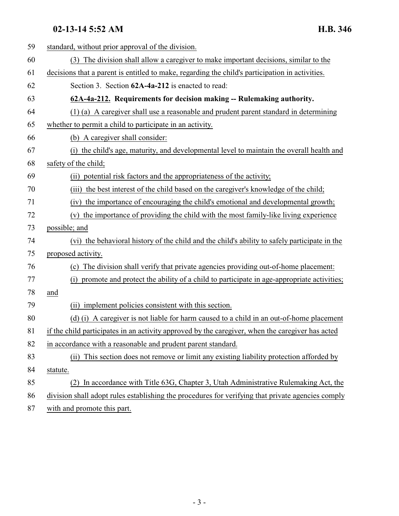## <span id="page-2-0"></span>**02-13-14 5:52 AM H.B. 346**

| 59 | standard, without prior approval of the division.                                                 |
|----|---------------------------------------------------------------------------------------------------|
| 60 | The division shall allow a caregiver to make important decisions, similar to the<br>(3)           |
| 61 | decisions that a parent is entitled to make, regarding the child's participation in activities.   |
| 62 | Section 3. Section 62A-4a-212 is enacted to read:                                                 |
| 63 | 62A-4a-212. Requirements for decision making -- Rulemaking authority.                             |
| 64 | (1) (a) A caregiver shall use a reasonable and prudent parent standard in determining             |
| 65 | whether to permit a child to participate in an activity.                                          |
| 66 | (b) A caregiver shall consider:                                                                   |
| 67 | the child's age, maturity, and developmental level to maintain the overall health and<br>(i)      |
| 68 | safety of the child;                                                                              |
| 69 | (ii) potential risk factors and the appropriateness of the activity;                              |
| 70 | the best interest of the child based on the caregiver's knowledge of the child;<br>(iii)          |
| 71 | the importance of encouraging the child's emotional and developmental growth;<br>(iv)             |
| 72 | the importance of providing the child with the most family-like living experience<br>(v)          |
| 73 | possible; and                                                                                     |
| 74 | (vi) the behavioral history of the child and the child's ability to safely participate in the     |
| 75 | proposed activity.                                                                                |
| 76 | (c) The division shall verify that private agencies providing out-of-home placement:              |
| 77 | promote and protect the ability of a child to participate in age-appropriate activities;<br>(i)   |
| 78 | and                                                                                               |
| 79 | implement policies consistent with this section.<br>(i)                                           |
| 80 | (d) (i) A caregiver is not liable for harm caused to a child in an out-of-home placement          |
| 81 | if the child participates in an activity approved by the caregiver, when the caregiver has acted  |
| 82 | in accordance with a reasonable and prudent parent standard.                                      |
| 83 | (ii) This section does not remove or limit any existing liability protection afforded by          |
| 84 | statute.                                                                                          |
| 85 | In accordance with Title 63G, Chapter 3, Utah Administrative Rulemaking Act, the                  |
| 86 | division shall adopt rules establishing the procedures for verifying that private agencies comply |
| 87 | with and promote this part.                                                                       |